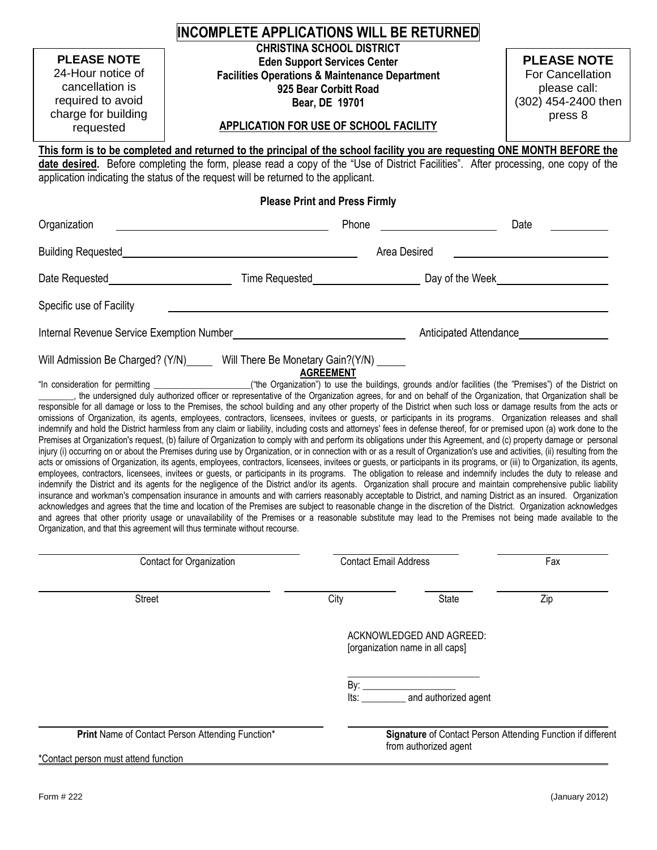|                                                                                                                                                                                                                                                                                                                                                                                                                                                                                                                                                                                                                                                                                                                                                                                                                                                                                                                                                                                                                                                                                                                                                                                                                                                                                                                                                                                                                                                                                                                                                                                                                                                                                                                                                                                                                                                                                                                                                                                    | <b>INCOMPLETE APPLICATIONS WILL BE RETURNED</b>                                                                                                        |                                                                                                                                                                                                                                  |                       |                                                                                          |  |
|------------------------------------------------------------------------------------------------------------------------------------------------------------------------------------------------------------------------------------------------------------------------------------------------------------------------------------------------------------------------------------------------------------------------------------------------------------------------------------------------------------------------------------------------------------------------------------------------------------------------------------------------------------------------------------------------------------------------------------------------------------------------------------------------------------------------------------------------------------------------------------------------------------------------------------------------------------------------------------------------------------------------------------------------------------------------------------------------------------------------------------------------------------------------------------------------------------------------------------------------------------------------------------------------------------------------------------------------------------------------------------------------------------------------------------------------------------------------------------------------------------------------------------------------------------------------------------------------------------------------------------------------------------------------------------------------------------------------------------------------------------------------------------------------------------------------------------------------------------------------------------------------------------------------------------------------------------------------------------|--------------------------------------------------------------------------------------------------------------------------------------------------------|----------------------------------------------------------------------------------------------------------------------------------------------------------------------------------------------------------------------------------|-----------------------|------------------------------------------------------------------------------------------|--|
| <b>PLEASE NOTE</b><br>24-Hour notice of<br>cancellation is<br>required to avoid<br>charge for building<br>requested<br>This form is to be completed and returned to the principal of the school facility you are requesting ONE MONTH BEFORE the<br>date desired. Before completing the form, please read a copy of the "Use of District Facilities". After processing, one copy of the<br>application indicating the status of the request will be returned to the applicant.                                                                                                                                                                                                                                                                                                                                                                                                                                                                                                                                                                                                                                                                                                                                                                                                                                                                                                                                                                                                                                                                                                                                                                                                                                                                                                                                                                                                                                                                                                     |                                                                                                                                                        | <b>CHRISTINA SCHOOL DISTRICT</b><br><b>Eden Support Services Center</b><br><b>Facilities Operations &amp; Maintenance Department</b><br>925 Bear Corbitt Road<br>Bear, DE 19701<br><b>APPLICATION FOR USE OF SCHOOL FACILITY</b> |                       | <b>PLEASE NOTE</b><br>For Cancellation<br>please call:<br>(302) 454-2400 then<br>press 8 |  |
|                                                                                                                                                                                                                                                                                                                                                                                                                                                                                                                                                                                                                                                                                                                                                                                                                                                                                                                                                                                                                                                                                                                                                                                                                                                                                                                                                                                                                                                                                                                                                                                                                                                                                                                                                                                                                                                                                                                                                                                    |                                                                                                                                                        | <b>Please Print and Press Firmly</b>                                                                                                                                                                                             |                       |                                                                                          |  |
| Organization                                                                                                                                                                                                                                                                                                                                                                                                                                                                                                                                                                                                                                                                                                                                                                                                                                                                                                                                                                                                                                                                                                                                                                                                                                                                                                                                                                                                                                                                                                                                                                                                                                                                                                                                                                                                                                                                                                                                                                       |                                                                                                                                                        | Phone                                                                                                                                                                                                                            |                       | Date                                                                                     |  |
| Building Requested <b>Network of the Contract of Australian Contract of Australian Contract of Australian Contract of Australian Contract of Australian Contract of Australian Contract of Australian Contract of Australian Con</b>                                                                                                                                                                                                                                                                                                                                                                                                                                                                                                                                                                                                                                                                                                                                                                                                                                                                                                                                                                                                                                                                                                                                                                                                                                                                                                                                                                                                                                                                                                                                                                                                                                                                                                                                               |                                                                                                                                                        |                                                                                                                                                                                                                                  | Area Desired          |                                                                                          |  |
|                                                                                                                                                                                                                                                                                                                                                                                                                                                                                                                                                                                                                                                                                                                                                                                                                                                                                                                                                                                                                                                                                                                                                                                                                                                                                                                                                                                                                                                                                                                                                                                                                                                                                                                                                                                                                                                                                                                                                                                    |                                                                                                                                                        |                                                                                                                                                                                                                                  |                       |                                                                                          |  |
| Specific use of Facility                                                                                                                                                                                                                                                                                                                                                                                                                                                                                                                                                                                                                                                                                                                                                                                                                                                                                                                                                                                                                                                                                                                                                                                                                                                                                                                                                                                                                                                                                                                                                                                                                                                                                                                                                                                                                                                                                                                                                           |                                                                                                                                                        |                                                                                                                                                                                                                                  |                       |                                                                                          |  |
| Internal Revenue Service Exemption Number<br><u>[</u> [11] The manufacture of the service Exemption Number<br>122 The manufacture of the service of the service of the service of the service of the service of the service of the servi                                                                                                                                                                                                                                                                                                                                                                                                                                                                                                                                                                                                                                                                                                                                                                                                                                                                                                                                                                                                                                                                                                                                                                                                                                                                                                                                                                                                                                                                                                                                                                                                                                                                                                                                           |                                                                                                                                                        |                                                                                                                                                                                                                                  |                       |                                                                                          |  |
| responsible for all damage or loss to the Premises, the school building and any other property of the District when such loss or damage results from the acts or<br>omissions of Organization, its agents, employees, contractors, licensees, invitees or guests, or participants in its programs. Organization releases and shall<br>indemnify and hold the District harmless from any claim or liability, including costs and attorneys' fees in defense thereof, for or premised upon (a) work done to the<br>Premises at Organization's request, (b) failure of Organization to comply with and perform its obligations under this Agreement, and (c) property damage or personal<br>injury (i) occurring on or about the Premises during use by Organization, or in connection with or as a result of Organization's use and activities, (ii) resulting from the<br>acts or omissions of Organization, its agents, employees, contractors, licensees, invitees or guests, or participants in its programs, or (iii) to Organization, its agents,<br>employees, contractors, licensees, invitees or guests, or participants in its programs. The obligation to release and indemnify includes the duty to release and<br>indemnify the District and its agents for the negligence of the District and/or its agents. Organization shall procure and maintain comprehensive public liability<br>insurance and workman's compensation insurance in amounts and with carriers reasonably acceptable to District, and naming District as an insured. Organization<br>acknowledges and agrees that the time and location of the Premises are subject to reasonable change in the discretion of the District. Organization acknowledges<br>and agrees that other priority usage or unavailability of the Premises or a reasonable substitute may lead to the Premises not being made available to the<br>Organization, and that this agreement will thus terminate without recourse. | he undersigned duly authorized officer or representative of the Organization agrees, for and on behalf of the Organization, that Organization shall be | <b>AGREEMENT</b>                                                                                                                                                                                                                 |                       |                                                                                          |  |
|                                                                                                                                                                                                                                                                                                                                                                                                                                                                                                                                                                                                                                                                                                                                                                                                                                                                                                                                                                                                                                                                                                                                                                                                                                                                                                                                                                                                                                                                                                                                                                                                                                                                                                                                                                                                                                                                                                                                                                                    | Contact for Organization                                                                                                                               | <b>Contact Email Address</b>                                                                                                                                                                                                     |                       | Fax                                                                                      |  |
| <b>Street</b>                                                                                                                                                                                                                                                                                                                                                                                                                                                                                                                                                                                                                                                                                                                                                                                                                                                                                                                                                                                                                                                                                                                                                                                                                                                                                                                                                                                                                                                                                                                                                                                                                                                                                                                                                                                                                                                                                                                                                                      |                                                                                                                                                        | City                                                                                                                                                                                                                             | State                 | Zip                                                                                      |  |
|                                                                                                                                                                                                                                                                                                                                                                                                                                                                                                                                                                                                                                                                                                                                                                                                                                                                                                                                                                                                                                                                                                                                                                                                                                                                                                                                                                                                                                                                                                                                                                                                                                                                                                                                                                                                                                                                                                                                                                                    |                                                                                                                                                        | ACKNOWLEDGED AND AGREED:<br>[organization name in all caps]                                                                                                                                                                      |                       |                                                                                          |  |
|                                                                                                                                                                                                                                                                                                                                                                                                                                                                                                                                                                                                                                                                                                                                                                                                                                                                                                                                                                                                                                                                                                                                                                                                                                                                                                                                                                                                                                                                                                                                                                                                                                                                                                                                                                                                                                                                                                                                                                                    |                                                                                                                                                        |                                                                                                                                                                                                                                  |                       |                                                                                          |  |
|                                                                                                                                                                                                                                                                                                                                                                                                                                                                                                                                                                                                                                                                                                                                                                                                                                                                                                                                                                                                                                                                                                                                                                                                                                                                                                                                                                                                                                                                                                                                                                                                                                                                                                                                                                                                                                                                                                                                                                                    | Print Name of Contact Person Attending Function*                                                                                                       |                                                                                                                                                                                                                                  | from authorized agent | Signature of Contact Person Attending Function if different                              |  |
| *Contact person must attend function                                                                                                                                                                                                                                                                                                                                                                                                                                                                                                                                                                                                                                                                                                                                                                                                                                                                                                                                                                                                                                                                                                                                                                                                                                                                                                                                                                                                                                                                                                                                                                                                                                                                                                                                                                                                                                                                                                                                               |                                                                                                                                                        |                                                                                                                                                                                                                                  |                       |                                                                                          |  |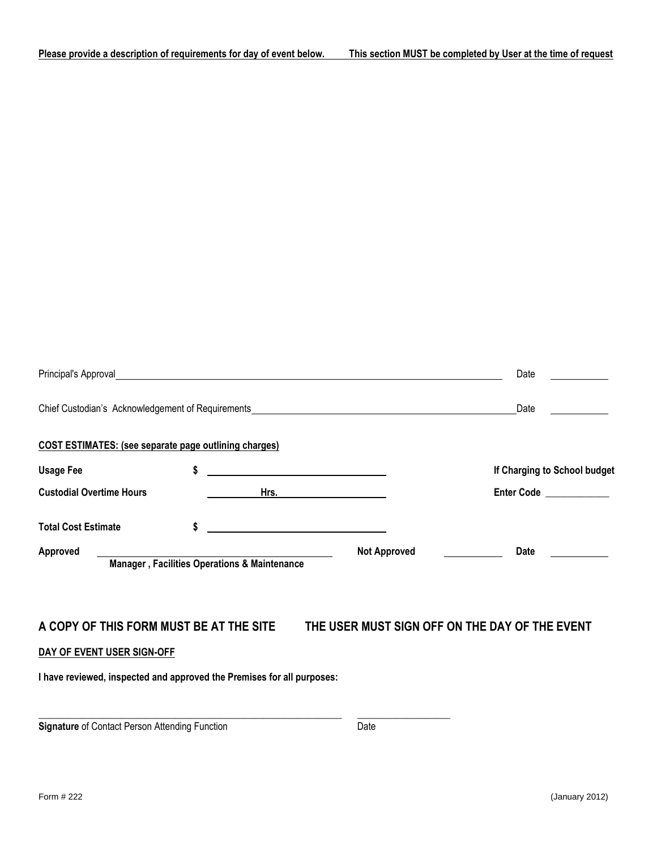|                                                                        |                                              |                                                                                                                                                                                                                                      | Date                         |
|------------------------------------------------------------------------|----------------------------------------------|--------------------------------------------------------------------------------------------------------------------------------------------------------------------------------------------------------------------------------------|------------------------------|
|                                                                        |                                              | Chief Custodian's Acknowledgement of Requirements example and the control of Requirements of Requirements and the control of Requirements of Requirements and the control of Requirements of Requirements and the control of R       | Date                         |
| <b>COST ESTIMATES: (see separate page outlining charges)</b>           |                                              |                                                                                                                                                                                                                                      |                              |
| <b>Usage Fee</b>                                                       | \$                                           | <u>and the contract of the contract of the contract of the contract of the contract of the contract of the contract of the contract of the contract of the contract of the contract of the contract of the contract of the contr</u> | If Charging to School budget |
| <b>Custodial Overtime Hours</b>                                        |                                              | <u>Hrs.</u>                                                                                                                                                                                                                          | Enter Code ____________      |
| <b>Total Cost Estimate</b>                                             | \$                                           | <u> 1989 - Johann John Stone, markin f</u>                                                                                                                                                                                           |                              |
| <b>Approved</b>                                                        | Manager, Facilities Operations & Maintenance | <b>Not Approved</b>                                                                                                                                                                                                                  | Date                         |
|                                                                        |                                              |                                                                                                                                                                                                                                      |                              |
|                                                                        |                                              | A COPY OF THIS FORM MUST BE AT THE SITE THE USER MUST SIGN OFF ON THE DAY OF THE EVENT                                                                                                                                               |                              |
| DAY OF EVENT USER SIGN-OFF                                             |                                              |                                                                                                                                                                                                                                      |                              |
| I have reviewed, inspected and approved the Premises for all purposes: |                                              |                                                                                                                                                                                                                                      |                              |
|                                                                        |                                              |                                                                                                                                                                                                                                      |                              |

**Signature** of Contact Person Attending Function Date

**\_\_\_\_\_\_\_\_\_\_\_\_\_\_\_\_\_\_\_\_\_\_\_\_\_\_\_\_\_\_\_\_\_\_\_\_\_\_\_\_\_\_\_\_\_\_\_\_\_\_\_\_\_\_\_\_\_\_\_\_\_\_ \_\_\_\_\_\_\_\_\_\_\_\_\_\_\_\_\_\_\_**